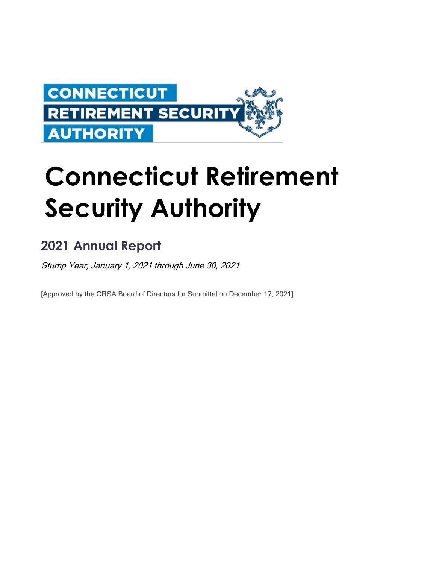

# **Connecticut Retirement Security Authority**

# **2021 Annual Report**

Stump Year, January 1, 2021 through June 30, 2021

[Approved by the CRSA Board of Directors for Submittal on December 17, 2021]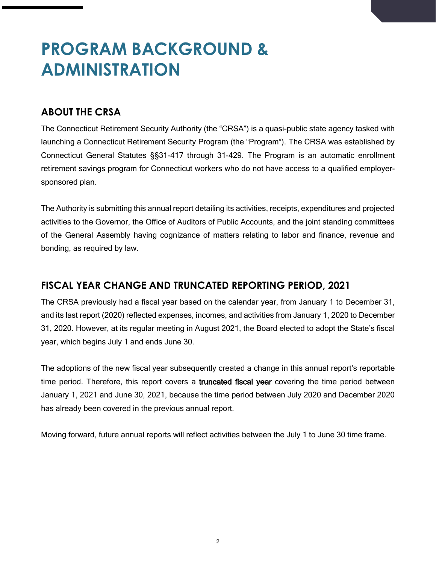# **PROGRAM BACKGROUND & ADMINISTRATION**

# **ABOUT THE CRSA**

The Connecticut Retirement Security Authority (the "CRSA") is a quasi-public state agency tasked with launching a Connecticut Retirement Security Program (the "Program"). The CRSA was established by Connecticut General Statutes §§31-417 through 31-429. The Program is an automatic enrollment retirement savings program for Connecticut workers who do not have access to a qualified employersponsored plan.

The Authority is submitting this annual report detailing its activities, receipts, expenditures and projected activities to the Governor, the Office of Auditors of Public Accounts, and the joint standing committees of the General Assembly having cognizance of matters relating to labor and finance, revenue and bonding, as required by law.

# **FISCAL YEAR CHANGE AND TRUNCATED REPORTING PERIOD, 2021**

The CRSA previously had a fiscal year based on the calendar year, from January 1 to December 31, and its last report (2020) reflected expenses, incomes, and activities from January 1, 2020 to December 31, 2020. However, at its regular meeting in August 2021, the Board elected to adopt the State's fiscal year, which begins July 1 and ends June 30.

The adoptions of the new fiscal year subsequently created a change in this annual report's reportable time period. Therefore, this report covers a truncated fiscal year covering the time period between January 1, 2021 and June 30, 2021, because the time period between July 2020 and December 2020 has already been covered in the previous annual report.

Moving forward, future annual reports will reflect activities between the July 1 to June 30 time frame.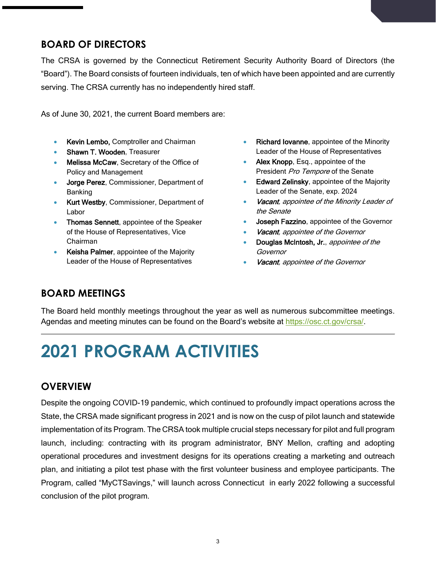# **BOARD OF DIRECTORS**

The CRSA is governed by the Connecticut Retirement Security Authority Board of Directors (the "Board"). The Board consists of fourteen individuals, ten of which have been appointed and are currently serving. The CRSA currently has no independently hired staff.

As of June 30, 2021, the current Board members are:

- Kevin Lembo, Comptroller and Chairman
- Shawn T. Wooden, Treasurer
- Melissa McCaw, Secretary of the Office of Policy and Management
- Jorge Perez, Commissioner, Department of Banking
- Kurt Westby, Commissioner, Department of Labor
- Thomas Sennett, appointee of the Speaker of the House of Representatives, Vice Chairman
- Keisha Palmer, appointee of the Majority Leader of the House of Representatives
- Richard Iovanne, appointee of the Minority Leader of the House of Representatives
- Alex Knopp, Esq., appointee of the President Pro Tempore of the Senate
- **Edward Zelinsky, appointee of the Majority** Leader of the Senate, exp. 2024
- Vacant, appointee of the Minority Leader of the Senate
- Joseph Fazzino, appointee of the Governor
- Vacant, appointee of the Governor
- Douglas McIntosh, Jr., appointee of the **Governor**
- Vacant, appointee of the Governor

# **BOARD MEETINGS**

The Board held monthly meetings throughout the year as well as numerous subcommittee meetings. Agendas and meeting minutes can be found on the Board's website at [https://osc.ct.gov/crsa/.](https://osc.ct.gov/crsa/)

# **2021 PROGRAM ACTIVITIES**

## **OVERVIEW**

Despite the ongoing COVID-19 pandemic, which continued to profoundly impact operations across the State, the CRSA made significant progress in 2021 and is now on the cusp of pilot launch and statewide implementation of its Program. The CRSA took multiple crucial steps necessary for pilot and full program launch, including: contracting with its program administrator, BNY Mellon, crafting and adopting operational procedures and investment designs for its operations creating a marketing and outreach plan, and initiating a pilot test phase with the first volunteer business and employee participants. The Program, called "MyCTSavings," will launch across Connecticut in early 2022 following a successful conclusion of the pilot program.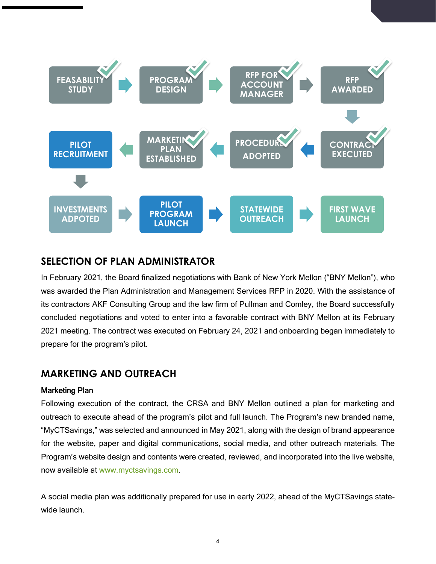

## **SELECTION OF PLAN ADMINISTRATOR**

In February 2021, the Board finalized negotiations with Bank of New York Mellon ("BNY Mellon"), who was awarded the Plan Administration and Management Services RFP in 2020. With the assistance of its contractors AKF Consulting Group and the law firm of Pullman and Comley, the Board successfully concluded negotiations and voted to enter into a favorable contract with BNY Mellon at its February 2021 meeting. The contract was executed on February 24, 2021 and onboarding began immediately to prepare for the program's pilot.

## **MARKETING AND OUTREACH**

#### Marketing Plan

Following execution of the contract, the CRSA and BNY Mellon outlined a plan for marketing and outreach to execute ahead of the program's pilot and full launch. The Program's new branded name, "MyCTSavings," was selected and announced in May 2021, along with the design of brand appearance for the website, paper and digital communications, social media, and other outreach materials. The Program's website design and contents were created, reviewed, and incorporated into the live website, now available at [www.myctsavings.com.](http://www.myctsavings.com/)

A social media plan was additionally prepared for use in early 2022, ahead of the MyCTSavings statewide launch.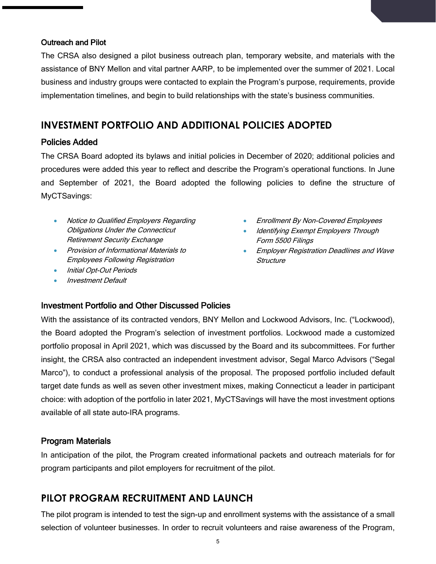### Outreach and Pilot

The CRSA also designed a pilot business outreach plan, temporary website, and materials with the assistance of BNY Mellon and vital partner AARP, to be implemented over the summer of 2021. Local business and industry groups were contacted to explain the Program's purpose, requirements, provide implementation timelines, and begin to build relationships with the state's business communities.

### **INVESTMENT PORTFOLIO AND ADDITIONAL POLICIES ADOPTED**

### Policies Added

The CRSA Board adopted its bylaws and initial policies in December of 2020; additional policies and procedures were added this year to reflect and describe the Program's operational functions. In June and September of 2021, the Board adopted the following policies to define the structure of MyCTSavings:

- Notice to Qualified Employers Regarding Obligations Under the Connecticut Retirement Security Exchange
- Provision of Informational Materials to Employees Following Registration
- Initial Opt-Out Periods
- Investment Default
- Enrollment By Non-Covered Employees
- Identifying Exempt Employers Through Form 5500 Filings
- Employer Registration Deadlines and Wave **Structure**

### Investment Portfolio and Other Discussed Policies

With the assistance of its contracted vendors, BNY Mellon and Lockwood Advisors, Inc. ("Lockwood), the Board adopted the Program's selection of investment portfolios. Lockwood made a customized portfolio proposal in April 2021, which was discussed by the Board and its subcommittees. For further insight, the CRSA also contracted an independent investment advisor, Segal Marco Advisors ("Segal Marco"), to conduct a professional analysis of the proposal. The proposed portfolio included default target date funds as well as seven other investment mixes, making Connecticut a leader in participant choice: with adoption of the portfolio in later 2021, MyCTSavings will have the most investment options available of all state auto-IRA programs.

### Program Materials

In anticipation of the pilot, the Program created informational packets and outreach materials for for program participants and pilot employers for recruitment of the pilot.

### **PILOT PROGRAM RECRUITMENT AND LAUNCH**

The pilot program is intended to test the sign-up and enrollment systems with the assistance of a small selection of volunteer businesses. In order to recruit volunteers and raise awareness of the Program,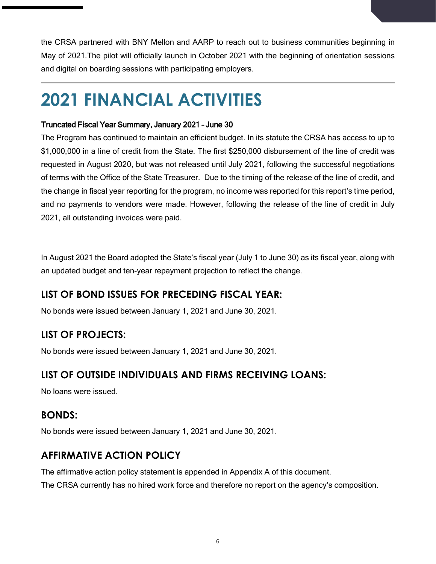the CRSA partnered with BNY Mellon and AARP to reach out to business communities beginning in May of 2021.The pilot will officially launch in October 2021 with the beginning of orientation sessions and digital on boarding sessions with participating employers.

# **2021 FINANCIAL ACTIVITIES**

### Truncated Fiscal Year Summary, January 2021 – June 30

The Program has continued to maintain an efficient budget. In its statute the CRSA has access to up to \$1,000,000 in a line of credit from the State. The first \$250,000 disbursement of the line of credit was requested in August 2020, but was not released until July 2021, following the successful negotiations of terms with the Office of the State Treasurer. Due to the timing of the release of the line of credit, and the change in fiscal year reporting for the program, no income was reported for this report's time period, and no payments to vendors were made. However, following the release of the line of credit in July 2021, all outstanding invoices were paid.

In August 2021 the Board adopted the State's fiscal year (July 1 to June 30) as its fiscal year, along with an updated budget and ten-year repayment projection to reflect the change.

# **LIST OF BOND ISSUES FOR PRECEDING FISCAL YEAR:**

No bonds were issued between January 1, 2021 and June 30, 2021.

# **LIST OF PROJECTS:**

No bonds were issued between January 1, 2021 and June 30, 2021.

# **LIST OF OUTSIDE INDIVIDUALS AND FIRMS RECEIVING LOANS:**

No loans were issued.

# **BONDS:**

No bonds were issued between January 1, 2021 and June 30, 2021.

# **AFFIRMATIVE ACTION POLICY**

The affirmative action policy statement is appended in Appendix A of this document. The CRSA currently has no hired work force and therefore no report on the agency's composition.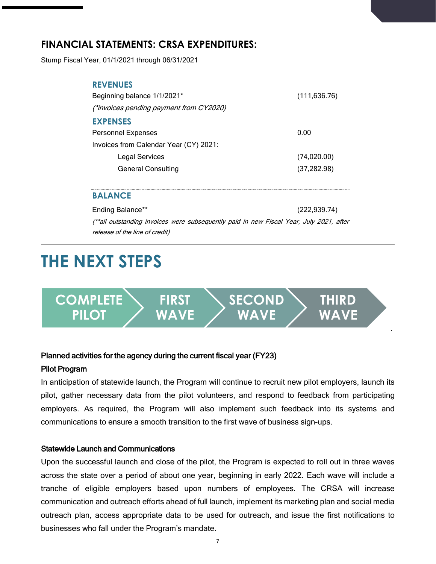# **FINANCIAL STATEMENTS: CRSA EXPENDITURES:**

Stump Fiscal Year, 01/1/2021 through 06/31/2021

| <b>REVENUES</b>                                |               |
|------------------------------------------------|---------------|
| Beginning balance 1/1/2021*                    | (111, 636.76) |
| <i>(*invoices pending payment from CY2020)</i> |               |
| <b>EXPENSES</b>                                |               |
| <b>Personnel Expenses</b>                      | 0.00          |
| Invoices from Calendar Year (CY) 2021:         |               |
| <b>Legal Services</b>                          | (74,020.00)   |
| <b>General Consulting</b>                      | (37, 282.98)  |
|                                                |               |

### **BALANCE**

Ending Balance\*\* (222,939.74) (\*\*all outstanding invoices were subsequently paid in new Fiscal Year, July 2021, after release of the line of credit)

# **THE NEXT STEPS**



### Planned activities for the agency during the current fiscal year (FY23)

### Pilot Program

In anticipation of statewide launch, the Program will continue to recruit new pilot employers, launch its pilot, gather necessary data from the pilot volunteers, and respond to feedback from participating employers. As required, the Program will also implement such feedback into its systems and communications to ensure a smooth transition to the first wave of business sign-ups.

#### Statewide Launch and Communications

Upon the successful launch and close of the pilot, the Program is expected to roll out in three waves across the state over a period of about one year, beginning in early 2022. Each wave will include a tranche of eligible employers based upon numbers of employees. The CRSA will increase communication and outreach efforts ahead of full launch, implement its marketing plan and social media outreach plan, access appropriate data to be used for outreach, and issue the first notifications to businesses who fall under the Program's mandate.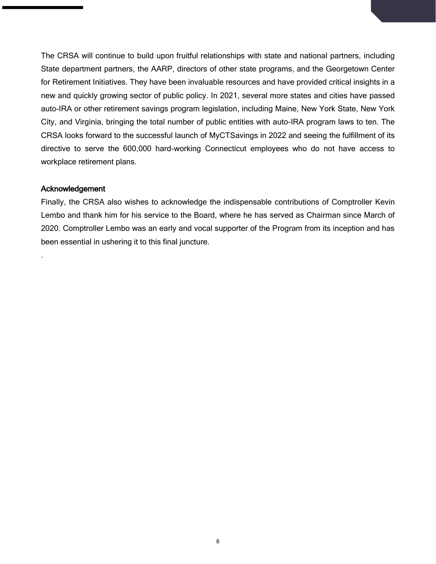The CRSA will continue to build upon fruitful relationships with state and national partners, including State department partners, the AARP, directors of other state programs, and the Georgetown Center for Retirement Initiatives. They have been invaluable resources and have provided critical insights in a new and quickly growing sector of public policy. In 2021, several more states and cities have passed auto-IRA or other retirement savings program legislation, including Maine, New York State, New York City, and Virginia, bringing the total number of public entities with auto-IRA program laws to ten. The CRSA looks forward to the successful launch of MyCTSavings in 2022 and seeing the fulfillment of its directive to serve the 600,000 hard-working Connecticut employees who do not have access to workplace retirement plans.

#### Acknowledgement

.

Finally, the CRSA also wishes to acknowledge the indispensable contributions of Comptroller Kevin Lembo and thank him for his service to the Board, where he has served as Chairman since March of 2020. Comptroller Lembo was an early and vocal supporter of the Program from its inception and has been essential in ushering it to this final juncture.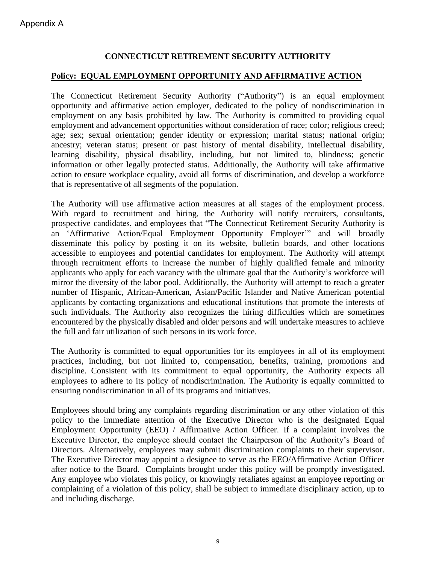### **CONNECTICUT RETIREMENT SECURITY AUTHORITY**

### **Policy: EQUAL EMPLOYMENT OPPORTUNITY AND AFFIRMATIVE ACTION**

The Connecticut Retirement Security Authority ("Authority") is an equal employment opportunity and affirmative action employer, dedicated to the policy of nondiscrimination in employment on any basis prohibited by law. The Authority is committed to providing equal employment and advancement opportunities without consideration of race; color; religious creed; age; sex; sexual orientation; gender identity or expression; marital status; national origin; ancestry; veteran status; present or past history of mental disability, intellectual disability, learning disability, physical disability, including, but not limited to, blindness; genetic information or other legally protected status. Additionally, the Authority will take affirmative action to ensure workplace equality, avoid all forms of discrimination, and develop a workforce that is representative of all segments of the population.

The Authority will use affirmative action measures at all stages of the employment process. With regard to recruitment and hiring, the Authority will notify recruiters, consultants, prospective candidates, and employees that "The Connecticut Retirement Security Authority is an 'Affirmative Action/Equal Employment Opportunity Employer'" and will broadly disseminate this policy by posting it on its website, bulletin boards, and other locations accessible to employees and potential candidates for employment. The Authority will attempt through recruitment efforts to increase the number of highly qualified female and minority applicants who apply for each vacancy with the ultimate goal that the Authority's workforce will mirror the diversity of the labor pool. Additionally, the Authority will attempt to reach a greater number of Hispanic, African-American, Asian/Pacific Islander and Native American potential applicants by contacting organizations and educational institutions that promote the interests of such individuals. The Authority also recognizes the hiring difficulties which are sometimes encountered by the physically disabled and older persons and will undertake measures to achieve the full and fair utilization of such persons in its work force.

The Authority is committed to equal opportunities for its employees in all of its employment practices, including, but not limited to, compensation, benefits, training, promotions and discipline. Consistent with its commitment to equal opportunity, the Authority expects all employees to adhere to its policy of nondiscrimination. The Authority is equally committed to ensuring nondiscrimination in all of its programs and initiatives.

Employees should bring any complaints regarding discrimination or any other violation of this policy to the immediate attention of the Executive Director who is the designated Equal Employment Opportunity (EEO) / Affirmative Action Officer. If a complaint involves the Executive Director, the employee should contact the Chairperson of the Authority's Board of Directors. Alternatively, employees may submit discrimination complaints to their supervisor. The Executive Director may appoint a designee to serve as the EEO/Affirmative Action Officer after notice to the Board. Complaints brought under this policy will be promptly investigated. Any employee who violates this policy, or knowingly retaliates against an employee reporting or complaining of a violation of this policy, shall be subject to immediate disciplinary action, up to and including discharge.